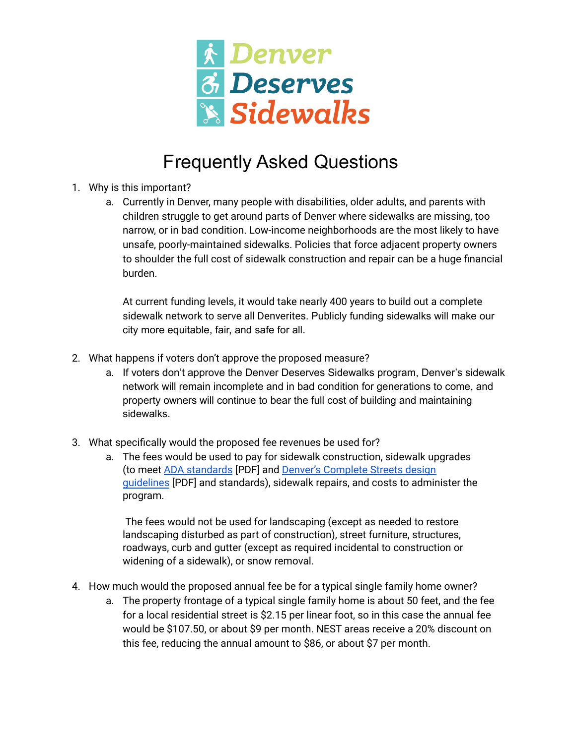

## Frequently Asked Questions

- 1. Why is this important?
	- a. Currently in Denver, many people with disabilities, older adults, and parents with children struggle to get around parts of Denver where sidewalks are missing, too narrow, or in bad condition. Low-income neighborhoods are the most likely to have unsafe, poorly-maintained sidewalks. Policies that force adjacent property owners to shoulder the full cost of sidewalk construction and repair can be a huge financial burden.

At current funding levels, it would take nearly 400 years to build out a complete sidewalk network to serve all Denverites. Publicly funding sidewalks will make our city more equitable, fair, and safe for all.

- 2. What happens if voters don't approve the proposed measure?
	- a. If voters don't approve the Denver Deserves Sidewalks program, Denver's sidewalk network will remain incomplete and in bad condition for generations to come, and property owners will continue to bear the full cost of building and maintaining sidewalks.
- 3. What specifically would the proposed fee revenues be used for?
	- a. The fees would be used to pay for sidewalk construction, sidewalk upgrades (to meet ADA [standards](https://nacto.org/docs/usdg/accessible_sidewalks_and_street_crossings_boodlal.pdf) [PDF] and Denver's [Complete](https://www.denvergov.org/files/assets/public/doti/documents/standards/doties-017.0_complete_streets_guidelines.pdf) Streets design [guidelines](https://www.denvergov.org/files/assets/public/doti/documents/standards/doties-017.0_complete_streets_guidelines.pdf) [PDF] and standards), sidewalk repairs, and costs to administer the program.

The fees would not be used for landscaping (except as needed to restore landscaping disturbed as part of construction), street furniture, structures, roadways, curb and gutter (except as required incidental to construction or widening of a sidewalk), or snow removal.

- 4. How much would the proposed annual fee be for a typical single family home owner?
	- a. The property frontage of a typical single family home is about 50 feet, and the fee for a local residential street is \$2.15 per linear foot, so in this case the annual fee would be \$107.50, or about \$9 per month. NEST areas receive a 20% discount on this fee, reducing the annual amount to \$86, or about \$7 per month.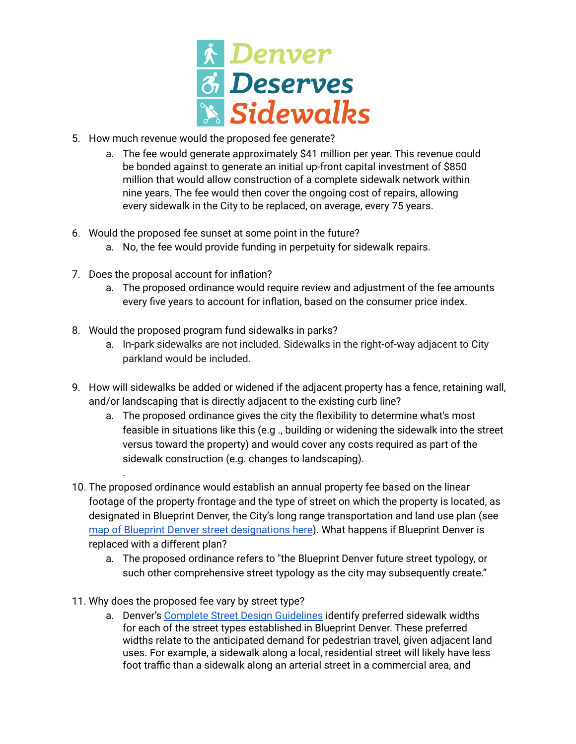

- 5. How much revenue would the proposed fee generate?
	- a. The fee would generate approximately \$41 million per year. This revenue could be bonded against to generate an initial up-front capital investment of \$850 million that would allow construction of a complete sidewalk network within nine years. The fee would then cover the ongoing cost of repairs, allowing every sidewalk in the City to be replaced, on average, every 75 years.
- 6. Would the proposed fee sunset at some point in the future?
	- a. No, the fee would provide funding in perpetuity for sidewalk repairs.
- 7. Does the proposal account for inflation?

.

- a. The proposed ordinance would require review and adjustment of the fee amounts every five years to account for inflation, based on the consumer price index.
- 8. Would the proposed program fund sidewalks in parks?
	- a. In-park sidewalks are not included. Sidewalks in the right-of-way adjacent to City parkland would be included.
- 9. How will sidewalks be added or widened if the adjacent property has a fence, retaining wall, and/or landscaping that is directly adjacent to the existing curb line?
	- a. The proposed ordinance gives the city the flexibility to determine what's most feasible in situations like this (e.g ., building or widening the sidewalk into the street versus toward the property) and would cover any costs required as part of the sidewalk construction (e.g. changes to landscaping).
- 10. The proposed ordinance would establish an annual property fee based on the linear footage of the property frontage and the type of street on which the property is located, as designated in Blueprint Denver, the City's long range transportation and land use plan (see map of Blueprint Denver street [designations](https://geospatialdenver.maps.arcgis.com/apps/webappviewer/index.html?id=acb954ce4bd844fd84d008f21029c0e4) here). What happens if Blueprint Denver is replaced with a different plan?
	- a. The proposed ordinance refers to "the Blueprint Denver future street typology, or such other comprehensive street typology as the city may subsequently create."
- 11. Why does the proposed fee vary by street type?
	- a. Denver's Complete Street Design [Guidelines](https://www.denvergov.org/files/assets/public/doti/documents/standards/doties-017.0_complete_streets_guidelines.pdf) identify preferred sidewalk widths for each of the street types established in Blueprint Denver. These preferred widths relate to the anticipated demand for pedestrian travel, given adjacent land uses. For example, a sidewalk along a local, residential street will likely have less foot traffic than a sidewalk along an arterial street in a commercial area, and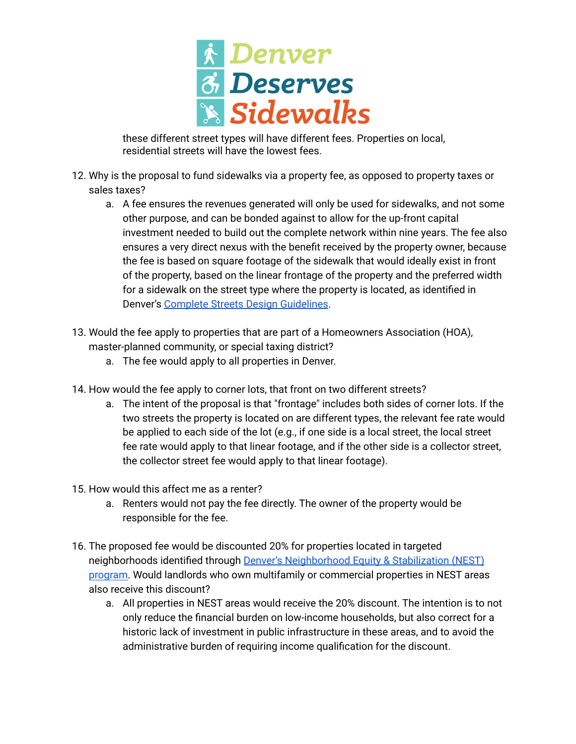

these different street types will have different fees. Properties on local, residential streets will have the lowest fees.

- 12. Why is the proposal to fund sidewalks via a property fee, as opposed to property taxes or sales taxes?
	- a. A fee ensures the revenues generated will only be used for sidewalks, and not some other purpose, and can be bonded against to allow for the up-front capital investment needed to build out the complete network within nine years. The fee also ensures a very direct nexus with the benefit received by the property owner, because the fee is based on square footage of the sidewalk that would ideally exist in front of the property, based on the linear frontage of the property and the preferred width for a sidewalk on the street type where the property is located, as identified in Denver's Complete Streets Design [Guidelines](https://www.denvergov.org/files/assets/public/doti/documents/standards/doties-017.0_complete_streets_guidelines.pdf).
- 13. Would the fee apply to properties that are part of a Homeowners Association (HOA), master-planned community, or special taxing district?
	- a. The fee would apply to all properties in Denver.
- 14. How would the fee apply to corner lots, that front on two different streets?
	- a. The intent of the proposal is that "frontage" includes both sides of corner lots. If the two streets the property is located on are different types, the relevant fee rate would be applied to each side of the lot (e.g., if one side is a local street, the local street fee rate would apply to that linear footage, and if the other side is a collector street, the collector street fee would apply to that linear footage).
- 15. How would this affect me as a renter?
	- a. Renters would not pay the fee directly. The owner of the property would be responsible for the fee.
- 16. The proposed fee would be discounted 20% for properties located in targeted neighborhoods identified through Denver's [Neighborhood](https://www.denvergov.org/Government/Agencies-Departments-Offices/Agencies-Departments-Offices-Directory/Economic-Development-Opportunity/Neighborhood-Equity) Equity & Stabilization (NEST) [program.](https://www.denvergov.org/Government/Agencies-Departments-Offices/Agencies-Departments-Offices-Directory/Economic-Development-Opportunity/Neighborhood-Equity) Would landlords who own multifamily or commercial properties in NEST areas also receive this discount?
	- a. All properties in NEST areas would receive the 20% discount. The intention is to not only reduce the financial burden on low-income households, but also correct for a historic lack of investment in public infrastructure in these areas, and to avoid the administrative burden of requiring income qualification for the discount.